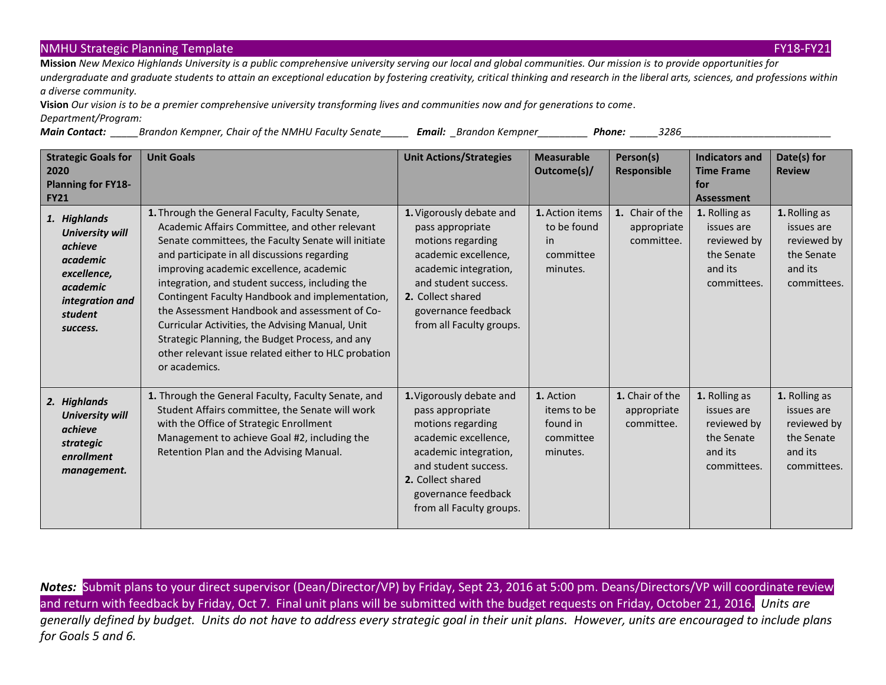## NMHU Strategic Planning Template FX 21 And The Control of the Control of the Control of the Control of the FY18-FY21

**Mission** *New Mexico Highlands University is a public comprehensive university serving our local and global communities. Our mission is to provide opportunities for undergraduate and graduate students to attain an exceptional education by fostering creativity, critical thinking and research in the liberal arts, sciences, and professions within a diverse community.* 

**Vision** *Our vision is to be a premier comprehensive university transforming lives and communities now and for generations to come. Department/Program:* 

*Main Contact: \_\_\_\_\_Brandon Kempner, Chair of the NMHU Faculty Senate\_\_\_\_\_ Email: \_Brandon Kempner\_\_\_\_\_\_\_\_\_ Phone: \_\_\_\_\_3286\_\_\_\_\_\_\_\_\_\_\_\_\_\_\_\_\_\_\_\_\_\_\_\_\_\_\_*

| <b>Strategic Goals for</b><br>2020<br><b>Planning for FY18-</b><br><b>FY21</b>                                                     | <b>Unit Goals</b>                                                                                                                                                                                                                                                                                                                                                                                                                                                                                                                                                                          | <b>Unit Actions/Strategies</b>                                                                                                                                                                                     | <b>Measurable</b><br>Outcome(s)/                              | Person(s)<br>Responsible                     | <b>Indicators and</b><br><b>Time Frame</b><br>for<br><b>Assessment</b>             | Date(s) for<br><b>Review</b>                                                       |
|------------------------------------------------------------------------------------------------------------------------------------|--------------------------------------------------------------------------------------------------------------------------------------------------------------------------------------------------------------------------------------------------------------------------------------------------------------------------------------------------------------------------------------------------------------------------------------------------------------------------------------------------------------------------------------------------------------------------------------------|--------------------------------------------------------------------------------------------------------------------------------------------------------------------------------------------------------------------|---------------------------------------------------------------|----------------------------------------------|------------------------------------------------------------------------------------|------------------------------------------------------------------------------------|
| 1. Highlands<br><b>University will</b><br>achieve<br>academic<br>excellence,<br>academic<br>integration and<br>student<br>success. | 1. Through the General Faculty, Faculty Senate,<br>Academic Affairs Committee, and other relevant<br>Senate committees, the Faculty Senate will initiate<br>and participate in all discussions regarding<br>improving academic excellence, academic<br>integration, and student success, including the<br>Contingent Faculty Handbook and implementation,<br>the Assessment Handbook and assessment of Co-<br>Curricular Activities, the Advising Manual, Unit<br>Strategic Planning, the Budget Process, and any<br>other relevant issue related either to HLC probation<br>or academics. | 1. Vigorously debate and<br>pass appropriate<br>motions regarding<br>academic excellence,<br>academic integration,<br>and student success.<br>2. Collect shared<br>governance feedback<br>from all Faculty groups. | 1. Action items<br>to be found<br>in<br>committee<br>minutes. | 1. Chair of the<br>appropriate<br>committee. | 1. Rolling as<br>issues are<br>reviewed by<br>the Senate<br>and its<br>committees. | 1. Rolling as<br>issues are<br>reviewed by<br>the Senate<br>and its<br>committees. |
| 2. Highlands<br><b>University will</b><br>achieve<br>strategic<br>enrollment<br>management.                                        | 1. Through the General Faculty, Faculty Senate, and<br>Student Affairs committee, the Senate will work<br>with the Office of Strategic Enrollment<br>Management to achieve Goal #2, including the<br>Retention Plan and the Advising Manual.                                                                                                                                                                                                                                                                                                                                               | 1. Vigorously debate and<br>pass appropriate<br>motions regarding<br>academic excellence,<br>academic integration,<br>and student success.<br>2. Collect shared<br>governance feedback<br>from all Faculty groups. | 1. Action<br>items to be<br>found in<br>committee<br>minutes. | 1. Chair of the<br>appropriate<br>committee. | 1. Rolling as<br>issues are<br>reviewed by<br>the Senate<br>and its<br>committees. | 1. Rolling as<br>issues are<br>reviewed by<br>the Senate<br>and its<br>committees. |

*Notes:* Submit plans to your direct supervisor (Dean/Director/VP) by Friday, Sept 23, 2016 at 5:00 pm. Deans/Directors/VP will coordinate review and return with feedback by Friday, Oct 7. Final unit plans will be submitted with the budget requests on Friday, October 21, 2016. *Units are generally defined by budget. Units do not have to address every strategic goal in their unit plans. However, units are encouraged to include plans for Goals 5 and 6.*